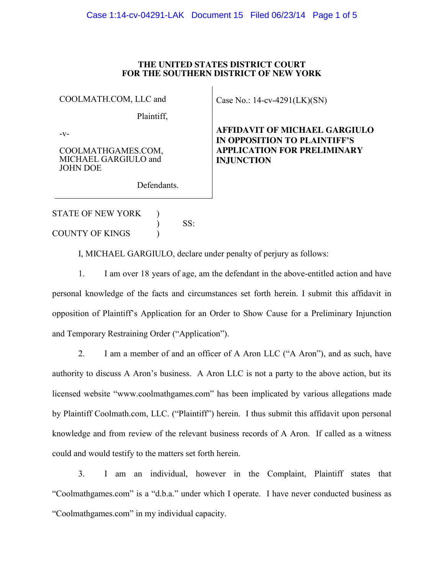#### **THE UNITED STATES DISTRICT COURT FOR THE SOUTHERN DISTRICT OF NEW YORK**

COOLMATH.COM, LLC and

Case No.: 14-cv-4291(LK)(SN)

**INJUNCTION**

**AFFIDAVIT OF MICHAEL GARGIULO IN OPPOSITION TO PLAINTIFF'S APPLICATION FOR PRELIMINARY** 

Plaintiff,

-v-

COOLMATHGAMES.COM, MICHAEL GARGIULO and JOHN DOE

Defendants.

STATE OF NEW YORK ) COUNTY OF KINGS (1)

) SS:

I, MICHAEL GARGIULO, declare under penalty of perjury as follows:

1. I am over 18 years of age, am the defendant in the above-entitled action and have personal knowledge of the facts and circumstances set forth herein. I submit this affidavit in opposition of Plaintiff's Application for an Order to Show Cause for a Preliminary Injunction and Temporary Restraining Order ("Application").

2. I am a member of and an officer of A Aron LLC ("A Aron"), and as such, have authority to discuss A Aron's business. A Aron LLC is not a party to the above action, but its licensed website "www.coolmathgames.com" has been implicated by various allegations made by Plaintiff Coolmath.com, LLC. ("Plaintiff") herein. I thus submit this affidavit upon personal knowledge and from review of the relevant business records of A Aron. If called as a witness could and would testify to the matters set forth herein.

3. I am an individual, however in the Complaint, Plaintiff states that "Coolmathgames.com" is a "d.b.a." under which I operate. I have never conducted business as "Coolmathgames.com" in my individual capacity.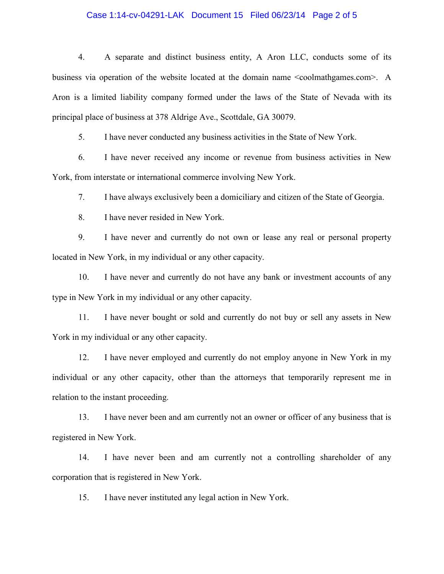## Case 1:14-cv-04291-LAK Document 15 Filed 06/23/14 Page 2 of 5

4. A separate and distinct business entity, A Aron LLC, conducts some of its business via operation of the website located at the domain name <coolmathgames.com>. A Aron is a limited liability company formed under the laws of the State of Nevada with its principal place of business at 378 Aldrige Ave., Scottdale, GA 30079.

5. I have never conducted any business activities in the State of New York.

6. I have never received any income or revenue from business activities in New York, from interstate or international commerce involving New York.

7. I have always exclusively been a domiciliary and citizen of the State of Georgia.

8. I have never resided in New York.

9. I have never and currently do not own or lease any real or personal property located in New York, in my individual or any other capacity.

10. I have never and currently do not have any bank or investment accounts of any type in New York in my individual or any other capacity.

11. I have never bought or sold and currently do not buy or sell any assets in New York in my individual or any other capacity.

12. I have never employed and currently do not employ anyone in New York in my individual or any other capacity, other than the attorneys that temporarily represent me in relation to the instant proceeding.

13. I have never been and am currently not an owner or officer of any business that is registered in New York.

14. I have never been and am currently not a controlling shareholder of any corporation that is registered in New York.

15. I have never instituted any legal action in New York.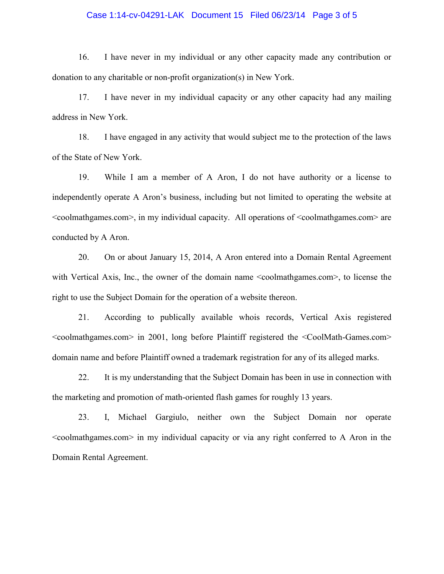## Case 1:14-cv-04291-LAK Document 15 Filed 06/23/14 Page 3 of 5

16. I have never in my individual or any other capacity made any contribution or donation to any charitable or non-profit organization(s) in New York.

17. I have never in my individual capacity or any other capacity had any mailing address in New York.

18. I have engaged in any activity that would subject me to the protection of the laws of the State of New York.

19. While I am a member of A Aron, I do not have authority or a license to independently operate A Aron's business, including but not limited to operating the website at <coolmathgames.com>, in my individual capacity. All operations of <coolmathgames.com> are conducted by A Aron.

20. On or about January 15, 2014, A Aron entered into a Domain Rental Agreement with Vertical Axis, Inc., the owner of the domain name <coolmathgames.com>, to license the right to use the Subject Domain for the operation of a website thereon.

21. According to publically available whois records, Vertical Axis registered <coolmathgames.com> in 2001, long before Plaintiff registered the <CoolMath-Games.com> domain name and before Plaintiff owned a trademark registration for any of its alleged marks.

22. It is my understanding that the Subject Domain has been in use in connection with the marketing and promotion of math-oriented flash games for roughly 13 years.

23. I, Michael Gargiulo, neither own the Subject Domain nor operate <coolmathgames.com> in my individual capacity or via any right conferred to A Aron in the Domain Rental Agreement.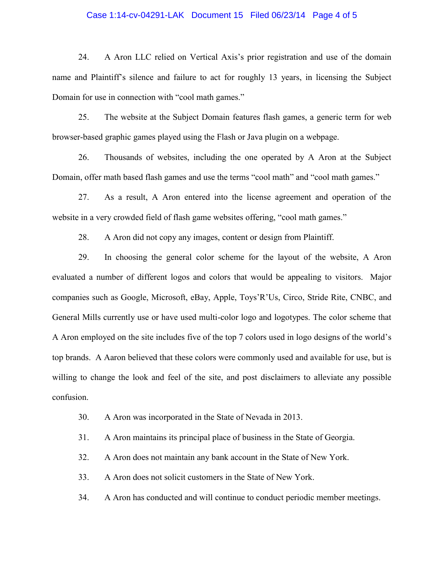## Case 1:14-cv-04291-LAK Document 15 Filed 06/23/14 Page 4 of 5

24. A Aron LLC relied on Vertical Axis's prior registration and use of the domain name and Plaintiff's silence and failure to act for roughly 13 years, in licensing the Subject Domain for use in connection with "cool math games."

25. The website at the Subject Domain features flash games, a generic term for web browser-based graphic games played using the Flash or Java plugin on a webpage.

26. Thousands of websites, including the one operated by A Aron at the Subject Domain, offer math based flash games and use the terms "cool math" and "cool math games."

27. As a result, A Aron entered into the license agreement and operation of the website in a very crowded field of flash game websites offering, "cool math games."

28. A Aron did not copy any images, content or design from Plaintiff.

29. In choosing the general color scheme for the layout of the website, A Aron evaluated a number of different logos and colors that would be appealing to visitors. Major companies such as Google, Microsoft, eBay, Apple, Toys'R'Us, Circo, Stride Rite, CNBC, and General Mills currently use or have used multi-color logo and logotypes. The color scheme that A Aron employed on the site includes five of the top 7 colors used in logo designs of the world's top brands. A Aaron believed that these colors were commonly used and available for use, but is willing to change the look and feel of the site, and post disclaimers to alleviate any possible confusion.

- 30. A Aron was incorporated in the State of Nevada in 2013.
- 31. A Aron maintains its principal place of business in the State of Georgia.
- 32. A Aron does not maintain any bank account in the State of New York.
- 33. A Aron does not solicit customers in the State of New York.
- 34. A Aron has conducted and will continue to conduct periodic member meetings.